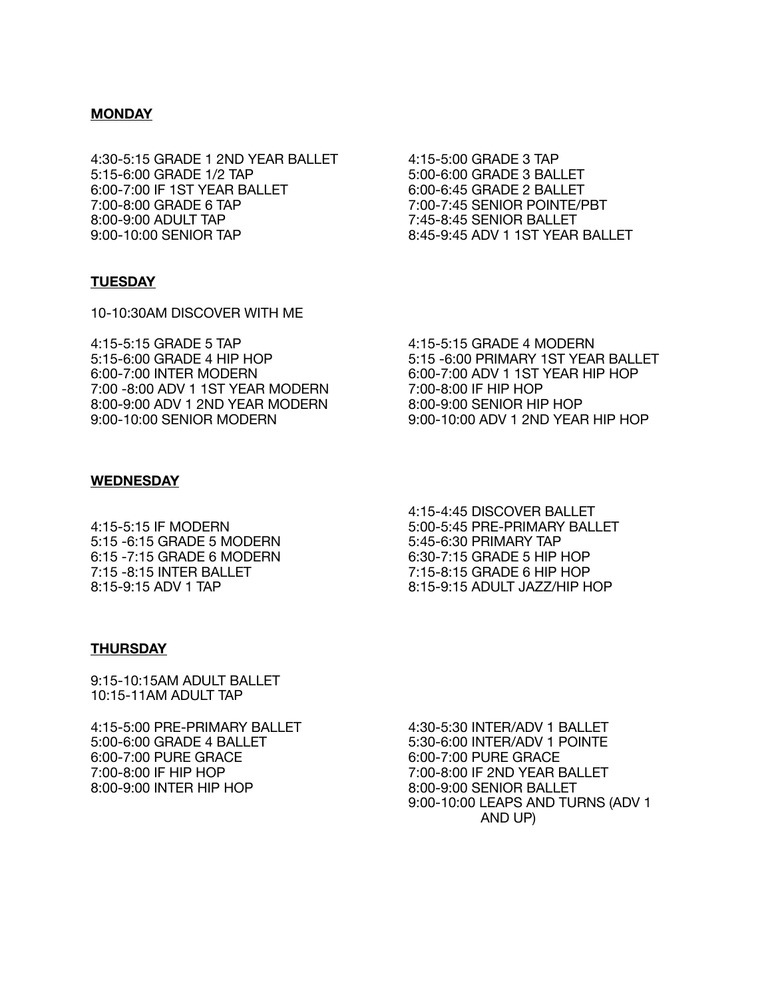## **MONDAY**

4:30-5:15 GRADE 1 2ND YEAR BALLET 4:15-5:00 GRADE 3 TAP 5:15-6:00 GRADE 1/2 TAP 5:00-6:00 GRADE 3 BALLET 6:00-7:00 IF 1ST YEAR BALLET 6:00-6:45 GRADE 2 BALLET 7:00-8:00 GRADE 6 TAP 7:00-7:45 SENIOR POINTE/PBT 8:00-9:00 ADULT TAP 7:45-8:45 SENIOR BALLET 9:00-10:00 SENIOR TAP 8:45-9:45 ADV 1 1ST YEAR BALLET

### **TUESDAY**

10-10:30AM DISCOVER WITH ME

4:15-5:15 GRADE 5 TAP 4:15-5:15 GRADE 4 MODERN<br>5:15-6:00 GRADE 4 HIP HOP 5:15 -6:00 PRIMARY 1ST YEAR 7:00 -8:00 ADV 1 1ST YEAR MODERN 7:00-8:00 IF HIP HOP<br>8:00-9:00 ADV 1 2ND YEAR MODERN 8:00-9:00 SENIOR HIP HOP 8:00-9:00 ADV 1 2ND YEAR MODERN<br>9:00-10:00 SENIOR MODERN

5:15-6:00 GRADE 4 HIP HOP 5:15 -6:00 PRIMARY 1ST YEAR BALLET 6:00-7:00 ADV 1 1ST YEAR HIP HOP<br>7:00-8:00 IF HIP HOP 9:00-10:00 ADV 1 2ND YEAR HIP HOP

# **WEDNESDAY**

5:15 -6:15 GRADE 5 MODERN 6:15 -7:15 GRADE 6 MODERN 6:30-7:15 GRADE 5 HIP HOP 7:15 -8:15 INTER BALLET 7:15-8:15 GRADE 6 HIP HOP

 4:15-4:45 DISCOVER BALLET 4:15-5:15 IF MODERN 5:00-5:45 PRE-PRIMARY BALLET<br>5:15 -6:15 GRADE 5 MODERN 5:45-6:30 PRIMARY TAP 8:15-9:15 ADV 1 TAP 8:15-9:15 ADULT JAZZ/HIP HOP

#### **THURSDAY**

9:15-10:15AM ADULT BALLET 10:15-11AM ADULT TAP

4:15-5:00 PRE-PRIMARY BALLET 4:30-5:30 INTER/ADV 1 BALLET 5:00-6:00 GRADE 4 BALLET 5:30-6:00 INTER/ADV 1 POINTE 6:00-7:00 PURE GRACE 6:00-7:00 PURE GRACE<br>7:00-8:00 IF HIP HOP 7:00-8:00 IF 2ND YEAR B 8:00-9:00 INTER HIP HOP 8:00-9:00 SENIOR BALLET

7:00-8:00 IF 2ND YEAR BALLET 9:00-10:00 LEAPS AND TURNS (ADV 1 AND UP)